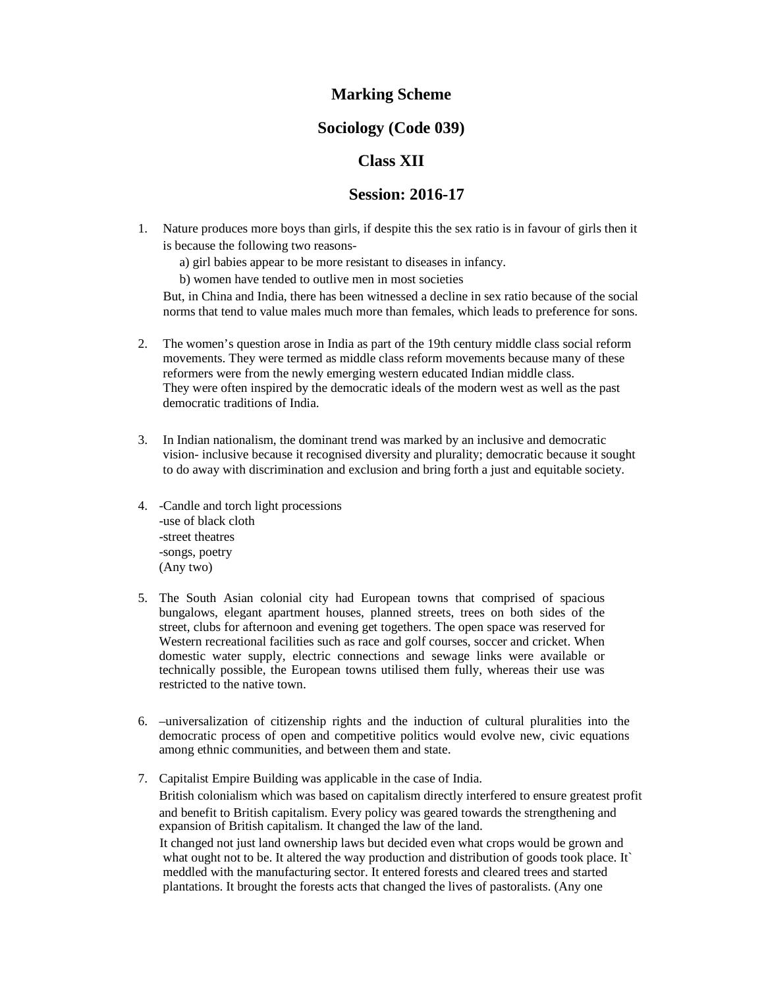# **Marking Scheme**

### **Sociology (Code 039)**

## **Class XII**

### **Session: 2016-17**

- 1. Nature produces more boys than girls, if despite this the sex ratio is in favour of girls then it is because the following two reasons
	- a) girl babies appear to be more resistant to diseases in infancy.
	- b) women have tended to outlive men in most societies

But, in China and India, there has been witnessed a decline in sex ratio because of the social norms that tend to value males much more than females, which leads to preference for sons.

- 2. The women's question arose in India as part of the 19th century middle class social reform movements. They were termed as middle class reform movements because many of these reformers were from the newly emerging western educated Indian middle class. They were often inspired by the democratic ideals of the modern west as well as the past democratic traditions of India.
- 3. In Indian nationalism, the dominant trend was marked by an inclusive and democratic vision- inclusive because it recognised diversity and plurality; democratic because it sought to do away with discrimination and exclusion and bring forth a just and equitable society.
- 4. -Candle and torch light processions -use of black cloth -street theatres -songs, poetry (Any two)
- 5. The South Asian colonial city had European towns that comprised of spacious bungalows, elegant apartment houses, planned streets, trees on both sides of the street, clubs for afternoon and evening get togethers. The open space was reserved for Western recreational facilities such as race and golf courses, soccer and cricket. When domestic water supply, electric connections and sewage links were available or technically possible, the European towns utilised them fully, whereas their use was restricted to the native town.
- 6. –universalization of citizenship rights and the induction of cultural pluralities into the democratic process of open and competitive politics would evolve new, civic equations among ethnic communities, and between them and state.
- 7. Capitalist Empire Building was applicable in the case of India. British colonialism which was based on capitalism directly interfered to ensure greatest profit and benefit to British capitalism. Every policy was geared towards the strengthening and expansion of British capitalism. It changed the law of the land.

It changed not just land ownership laws but decided even what crops would be grown and what ought not to be. It altered the way production and distribution of goods took place. It` meddled with the manufacturing sector. It entered forests and cleared trees and started plantations. It brought the forests acts that changed the lives of pastoralists. (Any one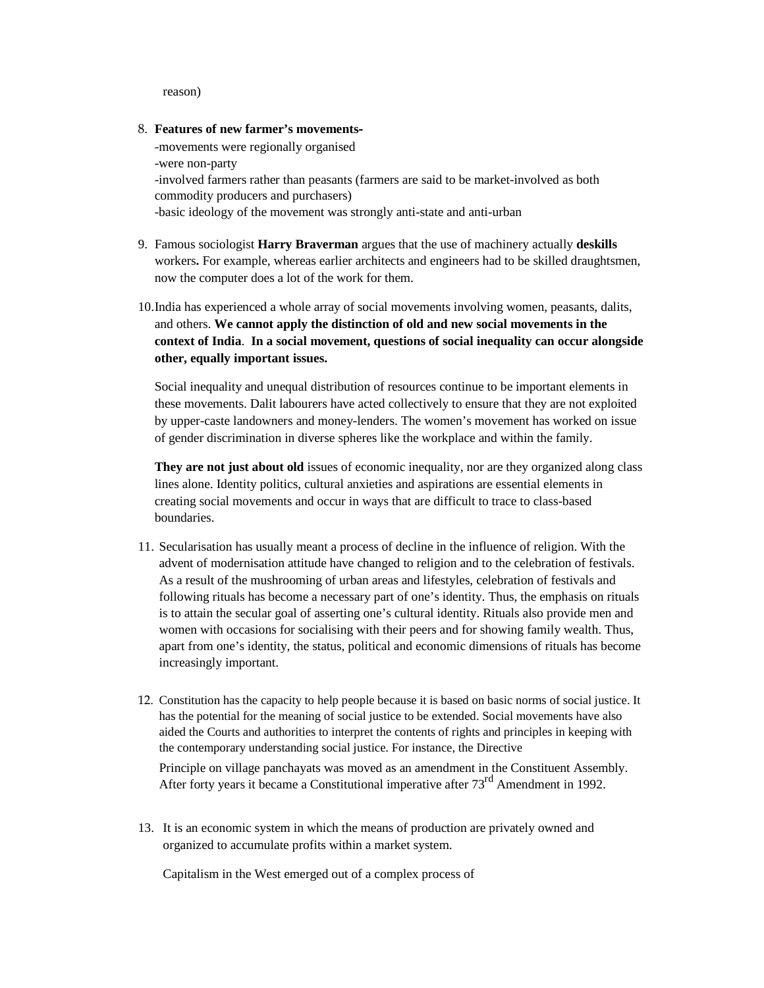reason)

8. **Features of new farmer's movements-**

-movements were regionally organised -were non-party -involved farmers rather than peasants (farmers are said to be market-involved as both commodity producers and purchasers) -basic ideology of the movement was strongly anti-state and anti-urban

- 9. Famous sociologist **Harry Braverman** argues that the use of machinery actually **deskills**  workers**.** For example, whereas earlier architects and engineers had to be skilled draughtsmen, now the computer does a lot of the work for them.
- 10.India has experienced a whole array of social movements involving women, peasants, dalits, and others. **We cannot apply the distinction of old and new social movements in the context of India**. **In a social movement, questions of social inequality can occur alongside other, equally important issues.**

Social inequality and unequal distribution of resources continue to be important elements in these movements. Dalit labourers have acted collectively to ensure that they are not exploited by upper-caste landowners and money-lenders. The women's movement has worked on issue of gender discrimination in diverse spheres like the workplace and within the family.

**They are not just about old** issues of economic inequality, nor are they organized along class lines alone. Identity politics, cultural anxieties and aspirations are essential elements in creating social movements and occur in ways that are difficult to trace to class-based boundaries.

- 11. Secularisation has usually meant a process of decline in the influence of religion. With the advent of modernisation attitude have changed to religion and to the celebration of festivals. As a result of the mushrooming of urban areas and lifestyles, celebration of festivals and following rituals has become a necessary part of one's identity. Thus, the emphasis on rituals is to attain the secular goal of asserting one's cultural identity. Rituals also provide men and women with occasions for socialising with their peers and for showing family wealth. Thus, apart from one's identity, the status, political and economic dimensions of rituals has become increasingly important.
- 12. Constitution has the capacity to help people because it is based on basic norms of social justice. It has the potential for the meaning of social justice to be extended. Social movements have also aided the Courts and authorities to interpret the contents of rights and principles in keeping with the contemporary understanding social justice. For instance, the Directive Principle on village panchayats was moved as an amendment in the Constituent Assembly. After forty years it became a Constitutional imperative after  $73<sup>rd</sup>$  Amendment in 1992.
- 13. It is an economic system in which the means of production are privately owned and organized to accumulate profits within a market system.

Capitalism in the West emerged out of a complex process of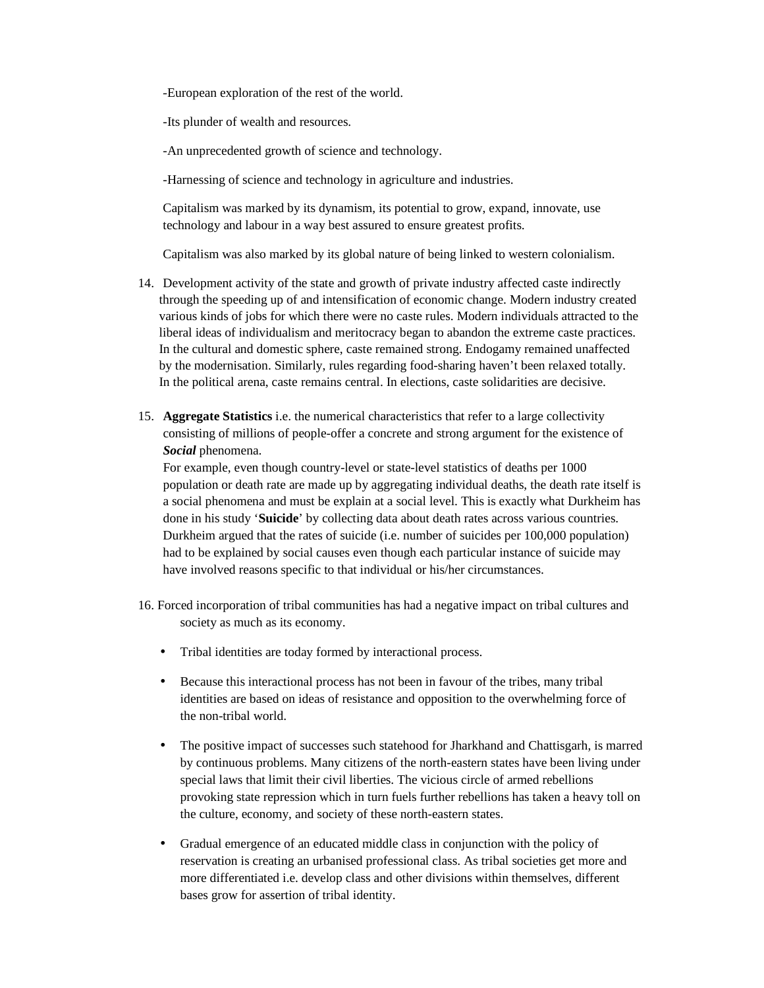-European exploration of the rest of the world.

-Its plunder of wealth and resources.

-An unprecedented growth of science and technology.

-Harnessing of science and technology in agriculture and industries.

Capitalism was marked by its dynamism, its potential to grow, expand, innovate, use technology and labour in a way best assured to ensure greatest profits.

Capitalism was also marked by its global nature of being linked to western colonialism.

- 14. Development activity of the state and growth of private industry affected caste indirectly through the speeding up of and intensification of economic change. Modern industry created various kinds of jobs for which there were no caste rules. Modern individuals attracted to the liberal ideas of individualism and meritocracy began to abandon the extreme caste practices. In the cultural and domestic sphere, caste remained strong. Endogamy remained unaffected by the modernisation. Similarly, rules regarding food-sharing haven't been relaxed totally. In the political arena, caste remains central. In elections, caste solidarities are decisive.
- 15. **Aggregate Statistics** i.e. the numerical characteristics that refer to a large collectivity consisting of millions of people-offer a concrete and strong argument for the existence of *Social* phenomena.

For example, even though country-level or state-level statistics of deaths per 1000 population or death rate are made up by aggregating individual deaths, the death rate itself is a social phenomena and must be explain at a social level. This is exactly what Durkheim has done in his study '**Suicide**' by collecting data about death rates across various countries. Durkheim argued that the rates of suicide (i.e. number of suicides per 100,000 population) had to be explained by social causes even though each particular instance of suicide may have involved reasons specific to that individual or his/her circumstances.

- 16. Forced incorporation of tribal communities has had a negative impact on tribal cultures and society as much as its economy.
	- Tribal identities are today formed by interactional process.
	- Because this interactional process has not been in favour of the tribes, many tribal identities are based on ideas of resistance and opposition to the overwhelming force of the non-tribal world.
	- The positive impact of successes such statehood for Jharkhand and Chattisgarh, is marred by continuous problems. Many citizens of the north-eastern states have been living under special laws that limit their civil liberties. The vicious circle of armed rebellions provoking state repression which in turn fuels further rebellions has taken a heavy toll on the culture, economy, and society of these north-eastern states.
	- Gradual emergence of an educated middle class in conjunction with the policy of reservation is creating an urbanised professional class. As tribal societies get more and more differentiated i.e. develop class and other divisions within themselves, different bases grow for assertion of tribal identity.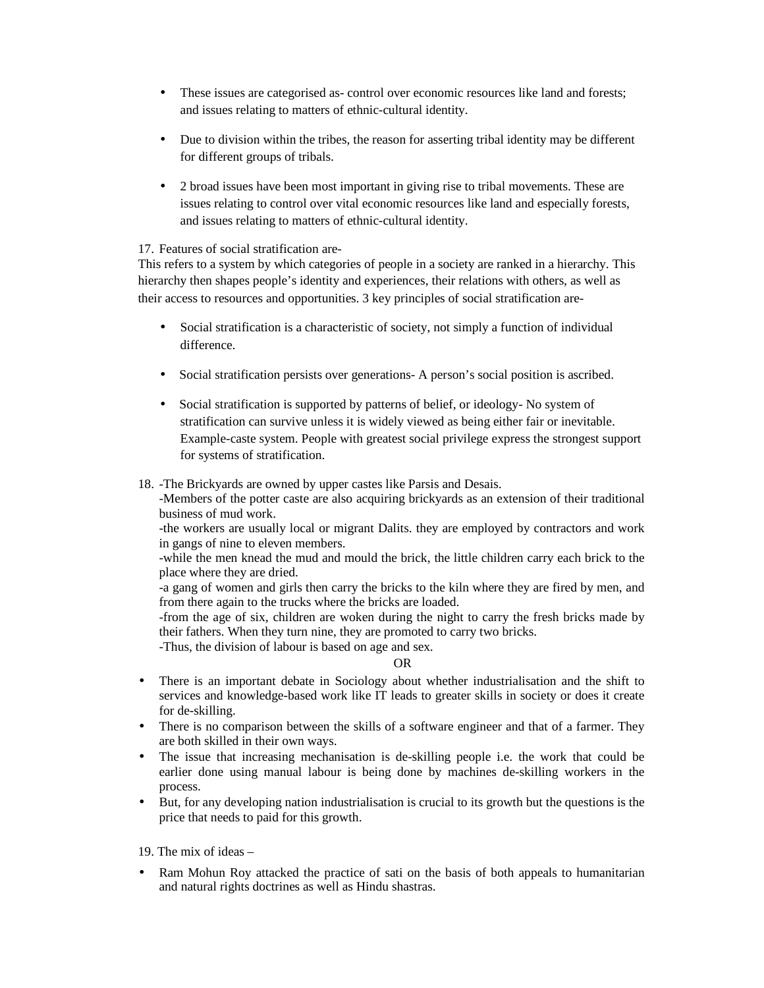- These issues are categorised as- control over economic resources like land and forests; and issues relating to matters of ethnic-cultural identity.
- Due to division within the tribes, the reason for asserting tribal identity may be different for different groups of tribals.
- 2 broad issues have been most important in giving rise to tribal movements. These are issues relating to control over vital economic resources like land and especially forests, and issues relating to matters of ethnic-cultural identity.

### 17. Features of social stratification are-

This refers to a system by which categories of people in a society are ranked in a hierarchy. This hierarchy then shapes people's identity and experiences, their relations with others, as well as their access to resources and opportunities. 3 key principles of social stratification are-

- Social stratification is a characteristic of society, not simply a function of individual difference.
- Social stratification persists over generations- A person's social position is ascribed.
- Social stratification is supported by patterns of belief, or ideology- No system of stratification can survive unless it is widely viewed as being either fair or inevitable. Example-caste system. People with greatest social privilege express the strongest support for systems of stratification.
- 18. -The Brickyards are owned by upper castes like Parsis and Desais.

-Members of the potter caste are also acquiring brickyards as an extension of their traditional business of mud work.

-the workers are usually local or migrant Dalits. they are employed by contractors and work in gangs of nine to eleven members.

-while the men knead the mud and mould the brick, the little children carry each brick to the place where they are dried.

-a gang of women and girls then carry the bricks to the kiln where they are fired by men, and from there again to the trucks where the bricks are loaded.

-from the age of six, children are woken during the night to carry the fresh bricks made by their fathers. When they turn nine, they are promoted to carry two bricks.

-Thus, the division of labour is based on age and sex.

### OR

- There is an important debate in Sociology about whether industrialisation and the shift to services and knowledge-based work like IT leads to greater skills in society or does it create for de-skilling.
- There is no comparison between the skills of a software engineer and that of a farmer. They are both skilled in their own ways.
- The issue that increasing mechanisation is de-skilling people i.e. the work that could be earlier done using manual labour is being done by machines de-skilling workers in the process.
- But, for any developing nation industrialisation is crucial to its growth but the questions is the price that needs to paid for this growth.

19. The mix of ideas –

• Ram Mohun Roy attacked the practice of sati on the basis of both appeals to humanitarian and natural rights doctrines as well as Hindu shastras.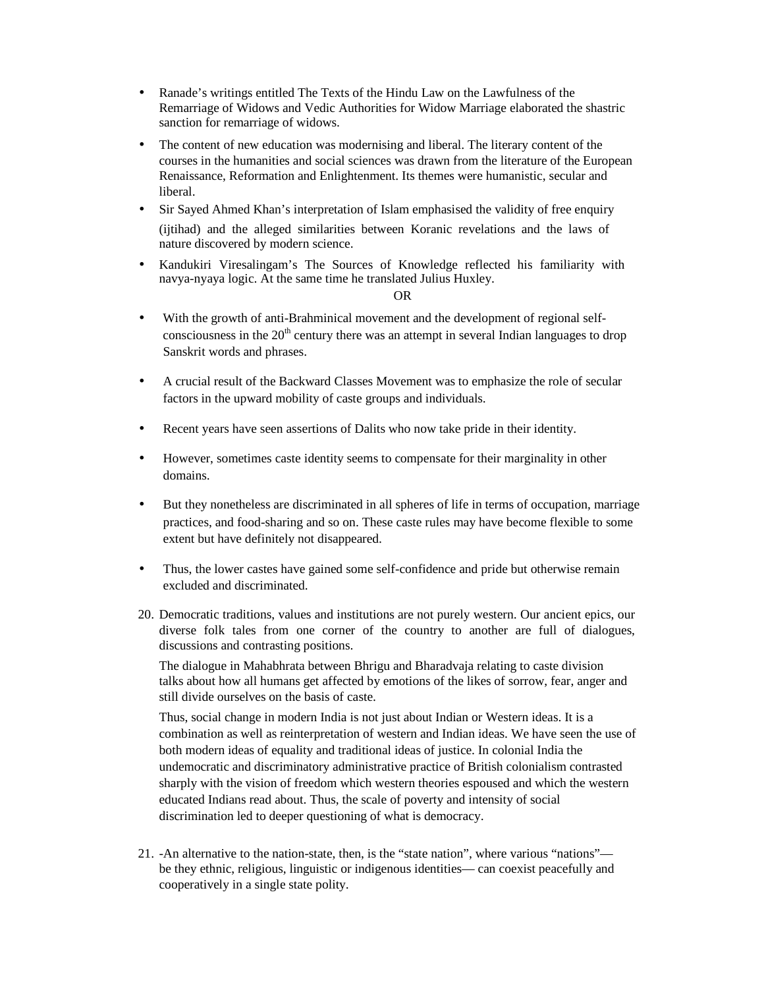- Ranade's writings entitled The Texts of the Hindu Law on the Lawfulness of the Remarriage of Widows and Vedic Authorities for Widow Marriage elaborated the shastric sanction for remarriage of widows.
- The content of new education was modernising and liberal. The literary content of the courses in the humanities and social sciences was drawn from the literature of the European Renaissance, Reformation and Enlightenment. Its themes were humanistic, secular and liberal.
- Sir Sayed Ahmed Khan's interpretation of Islam emphasised the validity of free enquiry (ijtihad) and the alleged similarities between Koranic revelations and the laws of nature discovered by modern science.
- Kandukiri Viresalingam's The Sources of Knowledge reflected his familiarity with navya-nyaya logic. At the same time he translated Julius Huxley.

#### OR

- With the growth of anti-Brahminical movement and the development of regional selfconsciousness in the  $20<sup>th</sup>$  century there was an attempt in several Indian languages to drop Sanskrit words and phrases.
- A crucial result of the Backward Classes Movement was to emphasize the role of secular factors in the upward mobility of caste groups and individuals.
- Recent years have seen assertions of Dalits who now take pride in their identity.
- However, sometimes caste identity seems to compensate for their marginality in other domains.
- But they nonetheless are discriminated in all spheres of life in terms of occupation, marriage practices, and food-sharing and so on. These caste rules may have become flexible to some extent but have definitely not disappeared.
- Thus, the lower castes have gained some self-confidence and pride but otherwise remain excluded and discriminated.
- 20. Democratic traditions, values and institutions are not purely western. Our ancient epics, our diverse folk tales from one corner of the country to another are full of dialogues, discussions and contrasting positions.

The dialogue in Mahabhrata between Bhrigu and Bharadvaja relating to caste division talks about how all humans get affected by emotions of the likes of sorrow, fear, anger and still divide ourselves on the basis of caste.

Thus, social change in modern India is not just about Indian or Western ideas. It is a combination as well as reinterpretation of western and Indian ideas. We have seen the use of both modern ideas of equality and traditional ideas of justice. In colonial India the undemocratic and discriminatory administrative practice of British colonialism contrasted sharply with the vision of freedom which western theories espoused and which the western educated Indians read about. Thus, the scale of poverty and intensity of social discrimination led to deeper questioning of what is democracy.

21. -An alternative to the nation-state, then, is the "state nation", where various "nations" be they ethnic, religious, linguistic or indigenous identities— can coexist peacefully and cooperatively in a single state polity.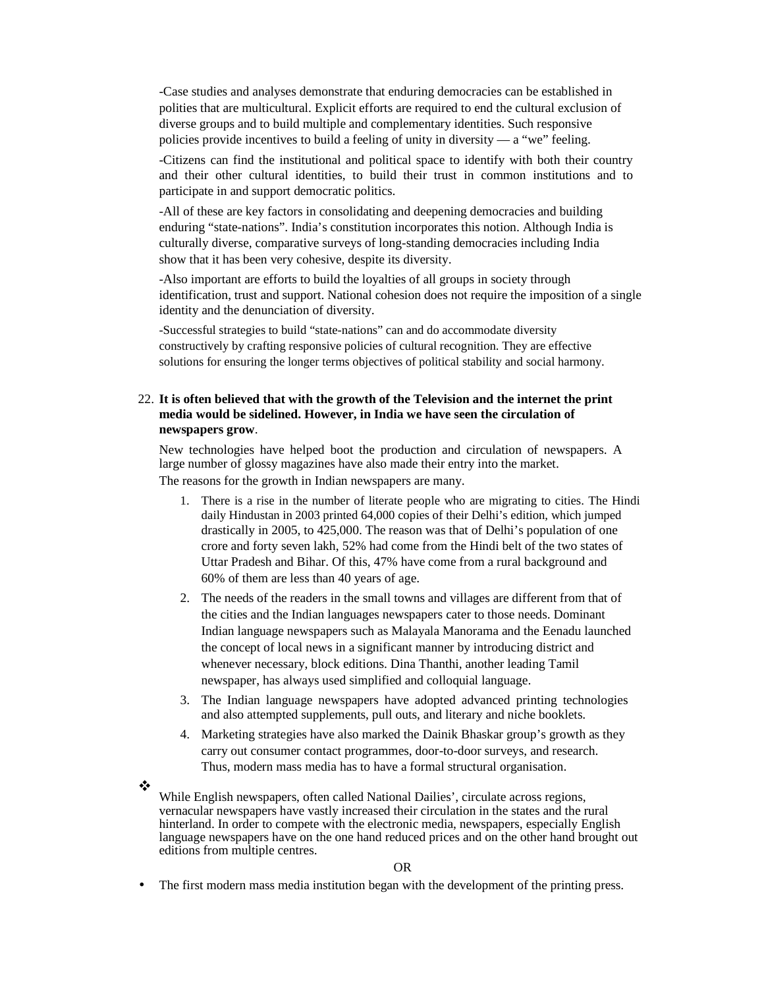-Case studies and analyses demonstrate that enduring democracies can be established in polities that are multicultural. Explicit efforts are required to end the cultural exclusion of diverse groups and to build multiple and complementary identities. Such responsive policies provide incentives to build a feeling of unity in diversity — a "we" feeling.

-Citizens can find the institutional and political space to identify with both their country and their other cultural identities, to build their trust in common institutions and to participate in and support democratic politics.

-All of these are key factors in consolidating and deepening democracies and building enduring "state-nations". India's constitution incorporates this notion. Although India is culturally diverse, comparative surveys of long-standing democracies including India show that it has been very cohesive, despite its diversity.

-Also important are efforts to build the loyalties of all groups in society through identification, trust and support. National cohesion does not require the imposition of a single identity and the denunciation of diversity.

-Successful strategies to build "state-nations" can and do accommodate diversity constructively by crafting responsive policies of cultural recognition. They are effective solutions for ensuring the longer terms objectives of political stability and social harmony.

#### 22. **It is often believed that with the growth of the Television and the internet the print media would be sidelined. However, in India we have seen the circulation of newspapers grow**.

New technologies have helped boot the production and circulation of newspapers. A large number of glossy magazines have also made their entry into the market. The reasons for the growth in Indian newspapers are many.

- 1. There is a rise in the number of literate people who are migrating to cities. The Hindi daily Hindustan in 2003 printed 64,000 copies of their Delhi's edition, which jumped drastically in 2005, to 425,000. The reason was that of Delhi's population of one crore and forty seven lakh, 52% had come from the Hindi belt of the two states of Uttar Pradesh and Bihar. Of this, 47% have come from a rural background and 60% of them are less than 40 years of age.
- 2. The needs of the readers in the small towns and villages are different from that of the cities and the Indian languages newspapers cater to those needs. Dominant Indian language newspapers such as Malayala Manorama and the Eenadu launched the concept of local news in a significant manner by introducing district and whenever necessary, block editions. Dina Thanthi, another leading Tamil newspaper, has always used simplified and colloquial language.
- 3. The Indian language newspapers have adopted advanced printing technologies and also attempted supplements, pull outs, and literary and niche booklets.
- 4. Marketing strategies have also marked the Dainik Bhaskar group's growth as they carry out consumer contact programmes, door-to-door surveys, and research. Thus, modern mass media has to have a formal structural organisation.

❖

While English newspapers, often called National Dailies', circulate across regions, vernacular newspapers have vastly increased their circulation in the states and the rural hinterland. In order to compete with the electronic media, newspapers, especially English language newspapers have on the one hand reduced prices and on the other hand brought out editions from multiple centres.

#### OR

• The first modern mass media institution began with the development of the printing press.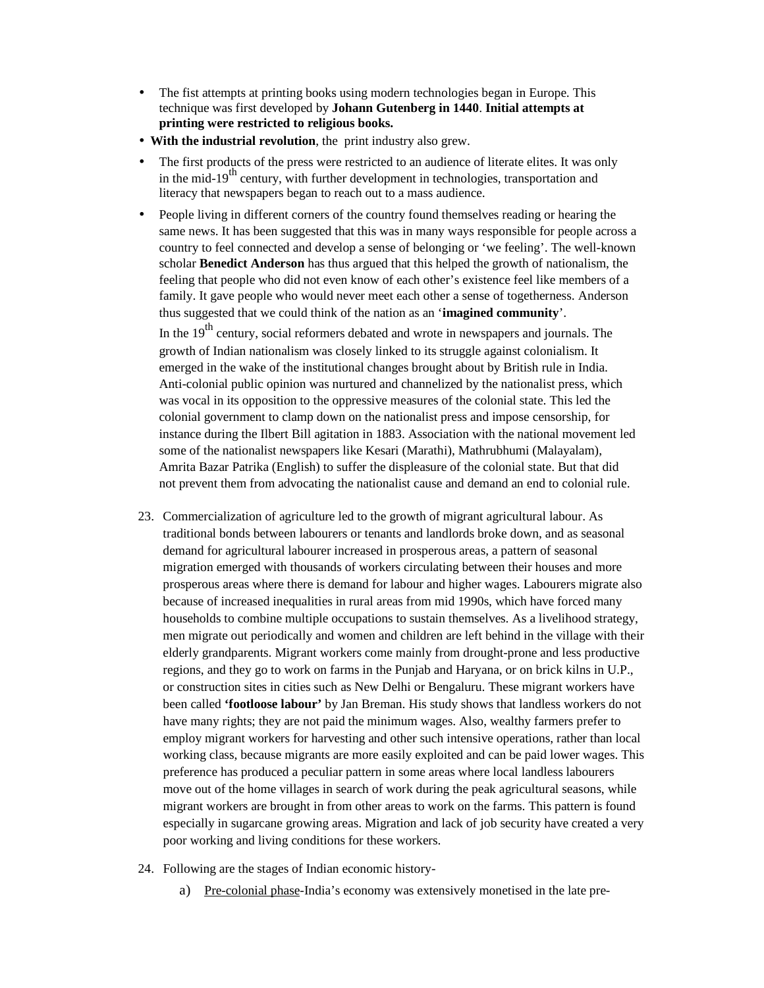- The fist attempts at printing books using modern technologies began in Europe. This technique was first developed by **Johann Gutenberg in 1440**. **Initial attempts at printing were restricted to religious books.**
- • **With the industrial revolution**, the print industry also grew.
- The first products of the press were restricted to an audience of literate elites. It was only in the mid-19<sup>th</sup> century, with further development in technologies, transportation and literacy that newspapers began to reach out to a mass audience.
- People living in different corners of the country found themselves reading or hearing the same news. It has been suggested that this was in many ways responsible for people across a country to feel connected and develop a sense of belonging or 'we feeling'. The well-known scholar **Benedict Anderson** has thus argued that this helped the growth of nationalism, the feeling that people who did not even know of each other's existence feel like members of a family. It gave people who would never meet each other a sense of togetherness. Anderson thus suggested that we could think of the nation as an '**imagined community**'.

In the  $19<sup>th</sup>$  century, social reformers debated and wrote in newspapers and journals. The growth of Indian nationalism was closely linked to its struggle against colonialism. It emerged in the wake of the institutional changes brought about by British rule in India. Anti-colonial public opinion was nurtured and channelized by the nationalist press, which was vocal in its opposition to the oppressive measures of the colonial state. This led the colonial government to clamp down on the nationalist press and impose censorship, for instance during the Ilbert Bill agitation in 1883. Association with the national movement led some of the nationalist newspapers like Kesari (Marathi), Mathrubhumi (Malayalam), Amrita Bazar Patrika (English) to suffer the displeasure of the colonial state. But that did not prevent them from advocating the nationalist cause and demand an end to colonial rule.

- 23. Commercialization of agriculture led to the growth of migrant agricultural labour. As traditional bonds between labourers or tenants and landlords broke down, and as seasonal demand for agricultural labourer increased in prosperous areas, a pattern of seasonal migration emerged with thousands of workers circulating between their houses and more prosperous areas where there is demand for labour and higher wages. Labourers migrate also because of increased inequalities in rural areas from mid 1990s, which have forced many households to combine multiple occupations to sustain themselves. As a livelihood strategy, men migrate out periodically and women and children are left behind in the village with their elderly grandparents. Migrant workers come mainly from drought-prone and less productive regions, and they go to work on farms in the Punjab and Haryana, or on brick kilns in U.P., or construction sites in cities such as New Delhi or Bengaluru. These migrant workers have been called **'footloose labour'** by Jan Breman. His study shows that landless workers do not have many rights; they are not paid the minimum wages. Also, wealthy farmers prefer to employ migrant workers for harvesting and other such intensive operations, rather than local working class, because migrants are more easily exploited and can be paid lower wages. This preference has produced a peculiar pattern in some areas where local landless labourers move out of the home villages in search of work during the peak agricultural seasons, while migrant workers are brought in from other areas to work on the farms. This pattern is found especially in sugarcane growing areas. Migration and lack of job security have created a very poor working and living conditions for these workers.
- 24. Following are the stages of Indian economic history
	- a) Pre-colonial phase-India's economy was extensively monetised in the late pre-